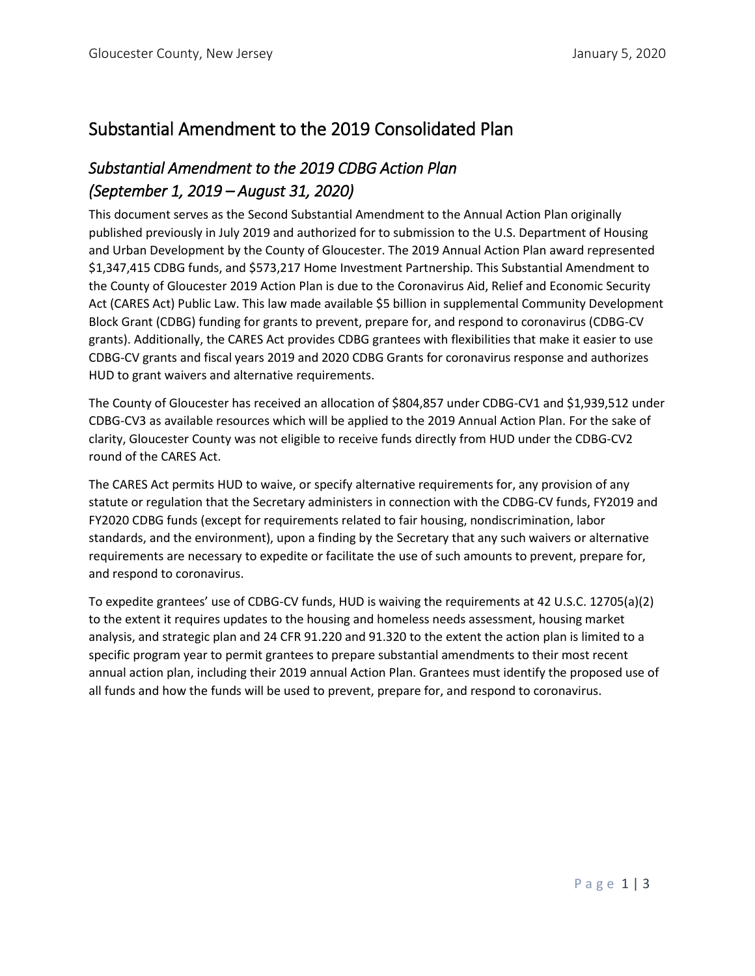# Substantial Amendment to the 2019 Consolidated Plan

## *Substantial Amendment to the 2019 CDBG Action Plan (September 1, 2019 – August 31, 2020)*

This document serves as the Second Substantial Amendment to the Annual Action Plan originally published previously in July 2019 and authorized for to submission to the U.S. Department of Housing and Urban Development by the County of Gloucester. The 2019 Annual Action Plan award represented \$1,347,415 CDBG funds, and \$573,217 Home Investment Partnership. This Substantial Amendment to the County of Gloucester 2019 Action Plan is due to the Coronavirus Aid, Relief and Economic Security Act (CARES Act) Public Law. This law made available \$5 billion in supplemental Community Development Block Grant (CDBG) funding for grants to prevent, prepare for, and respond to coronavirus (CDBG-CV grants). Additionally, the CARES Act provides CDBG grantees with flexibilities that make it easier to use CDBG-CV grants and fiscal years 2019 and 2020 CDBG Grants for coronavirus response and authorizes HUD to grant waivers and alternative requirements.

The County of Gloucester has received an allocation of \$804,857 under CDBG-CV1 and \$1,939,512 under CDBG-CV3 as available resources which will be applied to the 2019 Annual Action Plan. For the sake of clarity, Gloucester County was not eligible to receive funds directly from HUD under the CDBG-CV2 round of the CARES Act.

The CARES Act permits HUD to waive, or specify alternative requirements for, any provision of any statute or regulation that the Secretary administers in connection with the CDBG-CV funds, FY2019 and FY2020 CDBG funds (except for requirements related to fair housing, nondiscrimination, labor standards, and the environment), upon a finding by the Secretary that any such waivers or alternative requirements are necessary to expedite or facilitate the use of such amounts to prevent, prepare for, and respond to coronavirus.

To expedite grantees' use of CDBG-CV funds, HUD is waiving the requirements at 42 U.S.C. 12705(a)(2) to the extent it requires updates to the housing and homeless needs assessment, housing market analysis, and strategic plan and 24 CFR 91.220 and 91.320 to the extent the action plan is limited to a specific program year to permit grantees to prepare substantial amendments to their most recent annual action plan, including their 2019 annual Action Plan. Grantees must identify the proposed use of all funds and how the funds will be used to prevent, prepare for, and respond to coronavirus.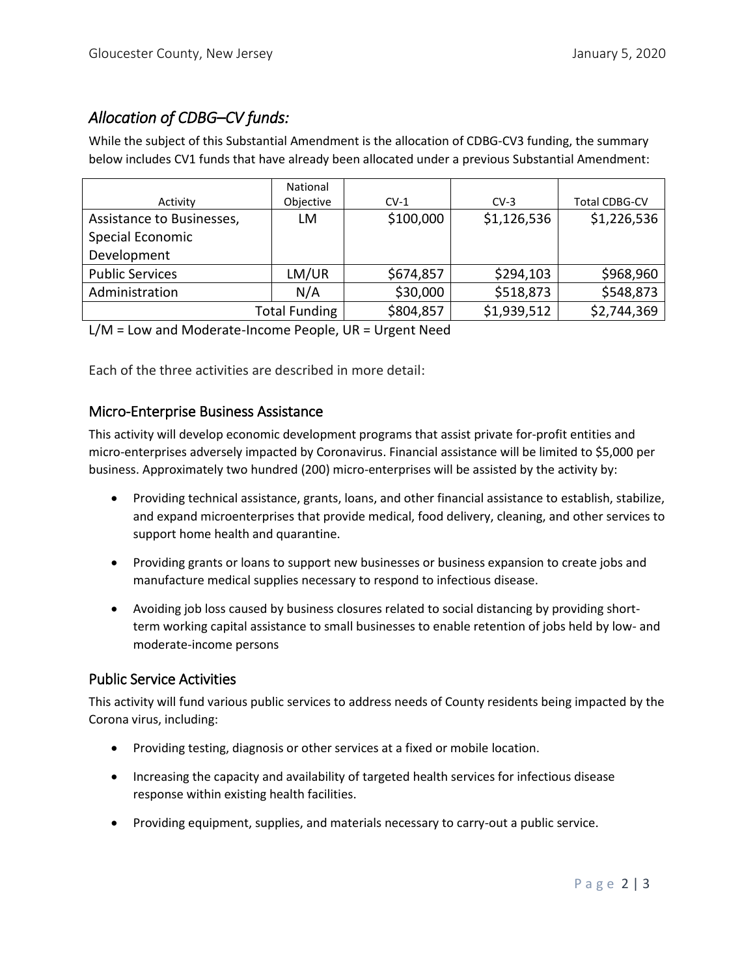## *Allocation of CDBG–CV funds:*

While the subject of this Substantial Amendment is the allocation of CDBG-CV3 funding, the summary below includes CV1 funds that have already been allocated under a previous Substantial Amendment:

|                           | National  |           |             |                      |
|---------------------------|-----------|-----------|-------------|----------------------|
| Activity                  | Objective | $CV-1$    | $CV-3$      | <b>Total CDBG-CV</b> |
| Assistance to Businesses, | LM        | \$100,000 | \$1,126,536 | \$1,226,536          |
| Special Economic          |           |           |             |                      |
| Development               |           |           |             |                      |
| <b>Public Services</b>    | LM/UR     | \$674,857 | \$294,103   | \$968,960            |
| Administration            | N/A       | \$30,000  | \$518,873   | \$548,873            |
| <b>Total Funding</b>      |           | \$804,857 | \$1,939,512 | \$2,744,369          |

L/M = Low and Moderate-Income People, UR = Urgent Need

Each of the three activities are described in more detail:

#### Micro-Enterprise Business Assistance

This activity will develop economic development programs that assist private for-profit entities and micro-enterprises adversely impacted by Coronavirus. Financial assistance will be limited to \$5,000 per business. Approximately two hundred (200) micro-enterprises will be assisted by the activity by:

- Providing technical assistance, grants, loans, and other financial assistance to establish, stabilize, and expand microenterprises that provide medical, food delivery, cleaning, and other services to support home health and quarantine.
- Providing grants or loans to support new businesses or business expansion to create jobs and manufacture medical supplies necessary to respond to infectious disease.
- Avoiding job loss caused by business closures related to social distancing by providing shortterm working capital assistance to small businesses to enable retention of jobs held by low- and moderate-income persons

#### Public Service Activities

This activity will fund various public services to address needs of County residents being impacted by the Corona virus, including:

- Providing testing, diagnosis or other services at a fixed or mobile location.
- Increasing the capacity and availability of targeted health services for infectious disease response within existing health facilities.
- Providing equipment, supplies, and materials necessary to carry-out a public service.